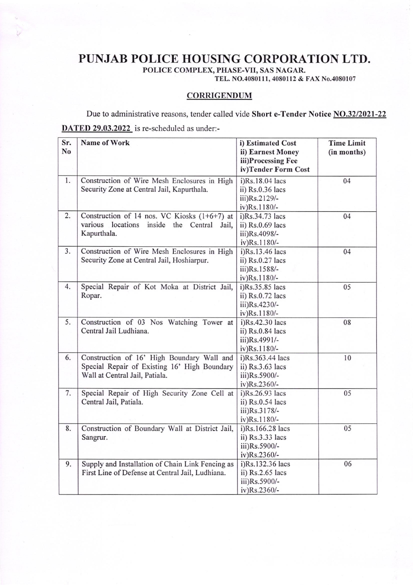## PUNJAB POLICE HOUSING CORPORATION LTD.

POLICE COMPLEX, PHASE-VII, SAS NAGAR.

TEL. NO.4080111, 4080112 & FAX No.4080107

## **CORRIGENDUM**

Due to administrative reasons, tender called vide Short e-Tender Notice NO.32/2021-22 DATED 29.03.2022 is re-scheduled as under:-

| Sr.<br>N <sub>0</sub> | Name of Work                                                                                                                 | i) Estimated Cost<br>ii) Earnest Money<br>iii)Processing Fee<br>iv)Tender Form Cost | <b>Time Limit</b><br>(in months) |
|-----------------------|------------------------------------------------------------------------------------------------------------------------------|-------------------------------------------------------------------------------------|----------------------------------|
| 1.                    | Construction of Wire Mesh Enclosures in High<br>Security Zone at Central Jail, Kapurthala.                                   | i)Rs.18.04 lacs<br>ii) Rs.0.36 lacs<br>iii)Rs.2129/-<br>iv)Rs.1180/-                | 04                               |
| 2.                    | Construction of 14 nos. VC Kiosks $(1+6+7)$ at<br>various<br>locations inside the Central Jail,<br>Kapurthala.               | i)Rs.34.73 lacs<br>ii) Rs.0.69 lacs<br>iii)Rs.4098/-<br>iv)Rs.1180/-                | 04                               |
| 3.                    | Construction of Wire Mesh Enclosures in High<br>Security Zone at Central Jail, Hoshiarpur.                                   | i)Rs.13.46 lacs<br>ii) Rs.0.27 lacs<br>iii)Rs.1588/-<br>iv)Rs.1180/-                | 04                               |
| 4.                    | Special Repair of Kot Moka at District Jail,<br>Ropar.                                                                       | i)Rs.35.85 lacs<br>ii) Rs.0.72 lacs<br>iii)Rs.4230/-<br>iv)Rs.1180/-                | 05                               |
| 5.                    | Construction of 03 Nos Watching Tower at<br>Central Jail Ludhiana.                                                           | $i)$ Rs.42.30 lacs<br>ii) Rs.0.84 lacs<br>iii)Rs.4991/-<br>iv)Rs.1180/-             | 08                               |
| 6.                    | Construction of 16' High Boundary Wall and<br>Special Repair of Existing 16' High Boundary<br>Wall at Central Jail, Patiala. | i)Rs.363.44 lacs<br>ii) Rs.3.63 lacs<br>iii)Rs.5900/-<br>iv)Rs.2360/-               | 10                               |
| 7.                    | Special Repair of High Security Zone Cell at<br>Central Jail, Patiala.                                                       | i)Rs.26.93 lacs<br>ii) $Rs.0.54$ lacs<br>iii)Rs.3178/-<br>iv)Rs.1180/-              | 05                               |
| 8.                    | Construction of Boundary Wall at District Jail,<br>Sangrur.                                                                  | i)Rs.166.28 lacs<br>ii) $Rs.3.33$ lacs<br>iii)Rs.5900/-<br>iv)Rs.2360/-             | 05                               |
| 9.                    | Supply and Installation of Chain Link Fencing as<br>First Line of Defense at Central Jail, Ludhiana.                         | i)Rs.132.36 lacs<br>ii) $Rs.2.65$ lacs<br>iii)Rs.5900/-<br>iv)Rs.2360/-             | 06                               |